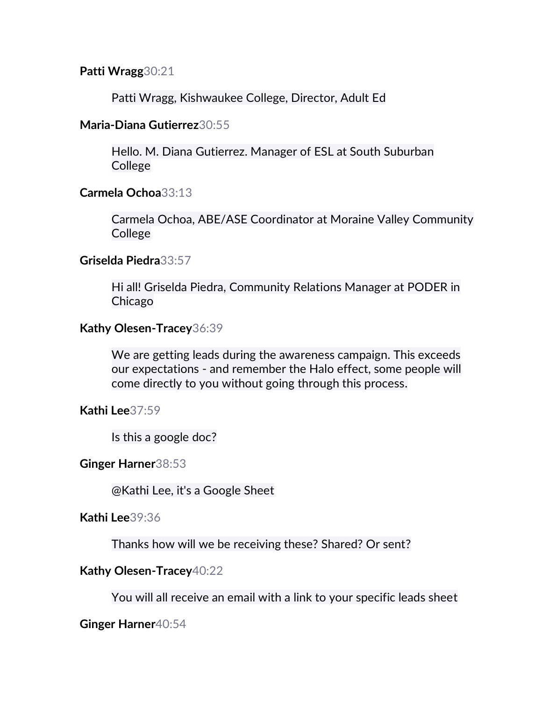## **Patti Wragg**30:21

Patti Wragg, Kishwaukee College, Director, Adult Ed

## **Maria-Diana Gutierrez**30:55

Hello. M. Diana Gutierrez. Manager of ESL at South Suburban **College** 

## **Carmela Ochoa**33:13

Carmela Ochoa, ABE/ASE Coordinator at Moraine Valley Community **College** 

## **Griselda Piedra**33:57

Hi all! Griselda Piedra, Community Relations Manager at PODER in Chicago

# **Kathy Olesen-Tracey**36:39

We are getting leads during the awareness campaign. This exceeds our expectations - and remember the Halo effect, some people will come directly to you without going through this process.

**Kathi Lee**37:59

Is this a google doc?

# **Ginger Harner**38:53

@Kathi Lee, it's a Google Sheet

**Kathi Lee**39:36

Thanks how will we be receiving these? Shared? Or sent?

# **Kathy Olesen-Tracey**40:22

You will all receive an email with a link to your specific leads sheet

**Ginger Harner**40:54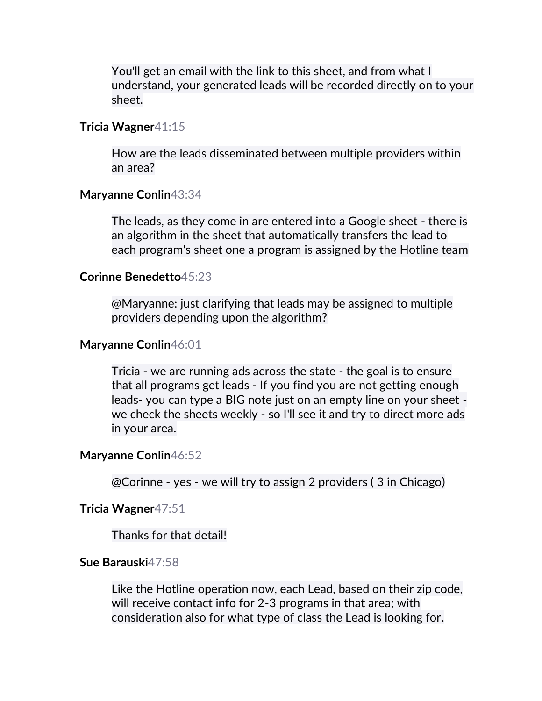You'll get an email with the link to this sheet, and from what I understand, your generated leads will be recorded directly on to your sheet.

#### **Tricia Wagner**41:15

How are the leads disseminated between multiple providers within an area?

### **Maryanne Conlin**43:34

The leads, as they come in are entered into a Google sheet - there is an algorithm in the sheet that automatically transfers the lead to each program's sheet one a program is assigned by the Hotline team

#### **Corinne Benedetto**45:23

@Maryanne: just clarifying that leads may be assigned to multiple providers depending upon the algorithm?

#### **Maryanne Conlin**46:01

Tricia - we are running ads across the state - the goal is to ensure that all programs get leads - If you find you are not getting enough leads- you can type a BIG note just on an empty line on your sheet we check the sheets weekly - so I'll see it and try to direct more ads in your area.

#### **Maryanne Conlin**46:52

@Corinne - yes - we will try to assign 2 providers ( 3 in Chicago)

### **Tricia Wagner**47:51

#### Thanks for that detail!

#### **Sue Barauski**47:58

Like the Hotline operation now, each Lead, based on their zip code, will receive contact info for 2-3 programs in that area; with consideration also for what type of class the Lead is looking for.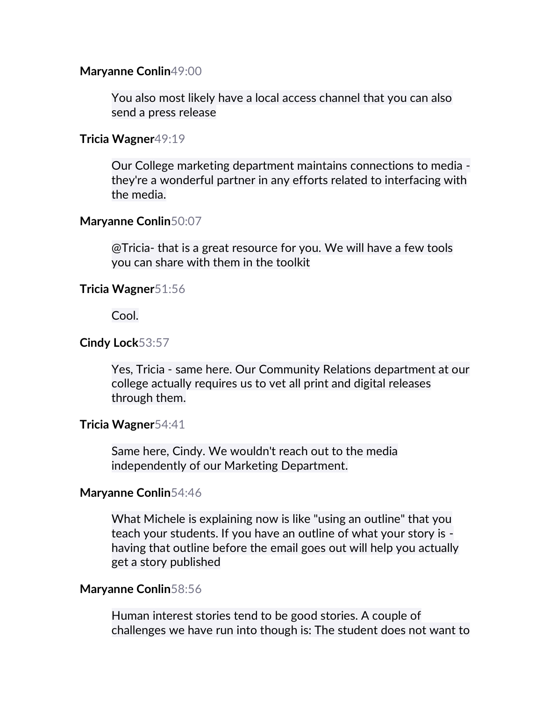### **Maryanne Conlin**49:00

You also most likely have a local access channel that you can also send a press release

### **Tricia Wagner**49:19

Our College marketing department maintains connections to media they're a wonderful partner in any efforts related to interfacing with the media.

### **Maryanne Conlin**50:07

@Tricia- that is a great resource for you. We will have a few tools you can share with them in the toolkit

### **Tricia Wagner**51:56

Cool.

### **Cindy Lock**53:57

Yes, Tricia - same here. Our Community Relations department at our college actually requires us to vet all print and digital releases through them.

### **Tricia Wagner**54:41

Same here, Cindy. We wouldn't reach out to the media independently of our Marketing Department.

### **Maryanne Conlin**54:46

What Michele is explaining now is like "using an outline" that you teach your students. If you have an outline of what your story is having that outline before the email goes out will help you actually get a story published

### **Maryanne Conlin**58:56

Human interest stories tend to be good stories. A couple of challenges we have run into though is: The student does not want to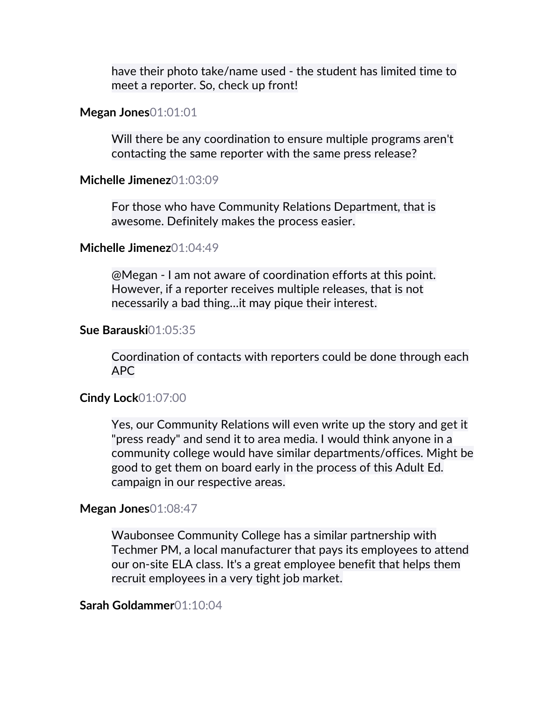have their photo take/name used - the student has limited time to meet a reporter. So, check up front!

### **Megan Jones**01:01:01

Will there be any coordination to ensure multiple programs aren't contacting the same reporter with the same press release?

### **Michelle Jimenez**01:03:09

For those who have Community Relations Department, that is awesome. Definitely makes the process easier.

### **Michelle Jimenez**01:04:49

@Megan - I am not aware of coordination efforts at this point. However, if a reporter receives multiple releases, that is not necessarily a bad thing…it may pique their interest.

#### **Sue Barauski**01:05:35

Coordination of contacts with reporters could be done through each APC

### **Cindy Lock**01:07:00

Yes, our Community Relations will even write up the story and get it "press ready" and send it to area media. I would think anyone in a community college would have similar departments/offices. Might be good to get them on board early in the process of this Adult Ed. campaign in our respective areas.

#### **Megan Jones**01:08:47

Waubonsee Community College has a similar partnership with Techmer PM, a local manufacturer that pays its employees to attend our on-site ELA class. It's a great employee benefit that helps them recruit employees in a very tight job market.

# **Sarah Goldammer**01:10:04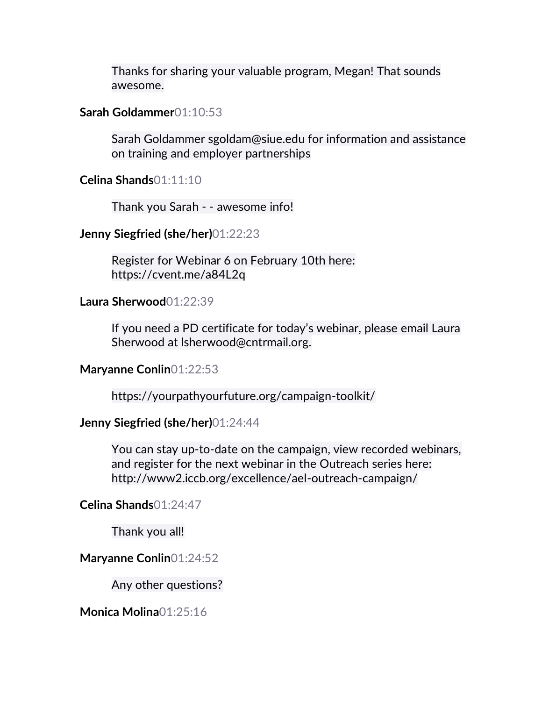Thanks for sharing your valuable program, Megan! That sounds awesome.

## **Sarah Goldammer**01:10:53

Sarah Goldammer sgoldam@siue.edu for information and assistance on training and employer partnerships

**Celina Shands**01:11:10

Thank you Sarah - - awesome info!

# **Jenny Siegfried (she/her)**01:22:23

Register for Webinar 6 on February 10th here: https://cvent.me/a84L2q

# **Laura Sherwood**01:22:39

If you need a PD certificate for today's webinar, please email Laura Sherwood at lsherwood@cntrmail.org.

# **Maryanne Conlin**01:22:53

https://yourpathyourfuture.org/campaign-toolkit/

# **Jenny Siegfried (she/her)**01:24:44

You can stay up-to-date on the campaign, view recorded webinars, and register for the next webinar in the Outreach series here: http://www2.iccb.org/excellence/ael-outreach-campaign/

# **Celina Shands**01:24:47

Thank you all!

# **Maryanne Conlin**01:24:52

Any other questions?

# **Monica Molina**01:25:16